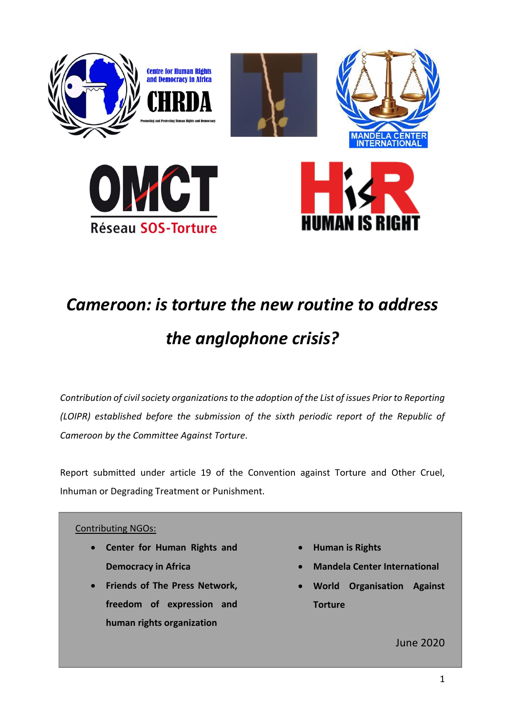

# *Cameroon: is torture the new routine to address the anglophone crisis?*

*Contribution of civil society organizations to the adoption of the List of issues Prior to Reporting (LOIPR) established before the submission of the sixth periodic report of the Republic of Cameroon by the Committee Against Torture*.

Report submitted under article 19 of the Convention against Torture and Other Cruel, Inhuman or Degrading Treatment or Punishment.

# Contributing NGOs:

- **Center for Human Rights and Democracy in Africa**
- **Friends of The Press Network, freedom of expression and human rights organization**
- **Human is Rights**
- **Mandela Center International**
- **World Organisation Against Torture**

June 2020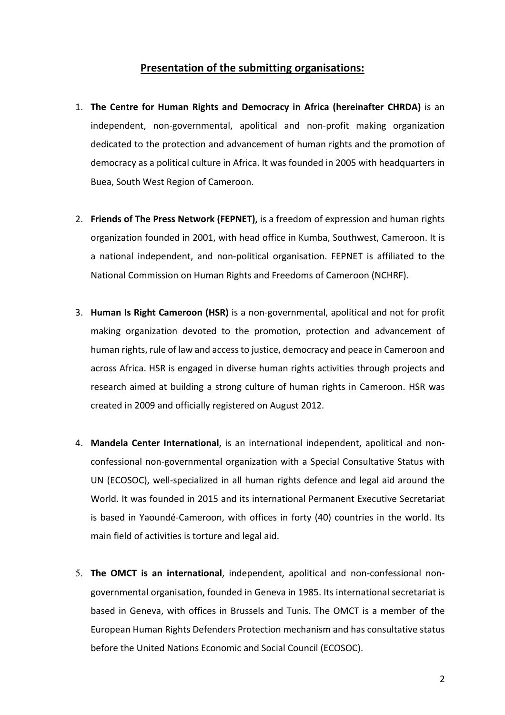# **Presentation of the submitting organisations:**

- 1. **The Centre for Human Rights and Democracy in Africa (hereinafter CHRDA)** is an independent, non-governmental, apolitical and non-profit making organization dedicated to the protection and advancement of human rights and the promotion of democracy as a political culture in Africa. It was founded in 2005 with headquarters in Buea, South West Region of Cameroon.
- 2. **Friends of The Press Network (FEPNET),** is a freedom of expression and human rights organization founded in 2001, with head office in Kumba, Southwest, Cameroon. It is a national independent, and non-political organisation. FEPNET is affiliated to the National Commission on Human Rights and Freedoms of Cameroon (NCHRF).
- 3. **Human Is Right Cameroon (HSR)** is a non-governmental, apolitical and not for profit making organization devoted to the promotion, protection and advancement of human rights, rule of law and access to justice, democracy and peace in Cameroon and across Africa. HSR is engaged in diverse human rights activities through projects and research aimed at building a strong culture of human rights in Cameroon. HSR was created in 2009 and officially registered on August 2012.
- 4. **Mandela Center International**, is an international independent, apolitical and nonconfessional non-governmental organization with a Special Consultative Status with UN (ECOSOC), well-specialized in all human rights defence and legal aid around the World. It was founded in 2015 and its international Permanent Executive Secretariat is based in Yaoundé-Cameroon, with offices in forty (40) countries in the world. Its main field of activities is torture and legal aid.
- 5. **The OMCT is an international**, independent, apolitical and non-confessional nongovernmental organisation, founded in Geneva in 1985. Its international secretariat is based in Geneva, with offices in Brussels and Tunis. The OMCT is a member of the European Human Rights Defenders Protection mechanism and has consultative status before the United Nations Economic and Social Council (ECOSOC).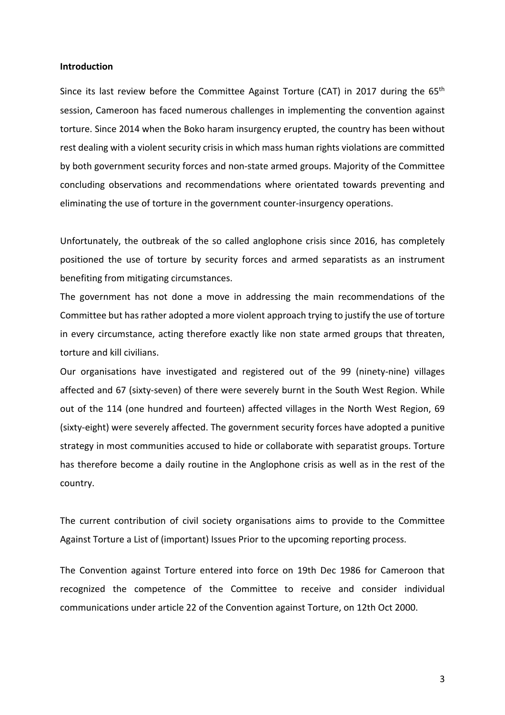#### **Introduction**

Since its last review before the Committee Against Torture (CAT) in 2017 during the 65<sup>th</sup> session, Cameroon has faced numerous challenges in implementing the convention against torture. Since 2014 when the Boko haram insurgency erupted, the country has been without rest dealing with a violent security crisis in which mass human rights violations are committed by both government security forces and non-state armed groups. Majority of the Committee concluding observations and recommendations where orientated towards preventing and eliminating the use of torture in the government counter-insurgency operations.

Unfortunately, the outbreak of the so called anglophone crisis since 2016, has completely positioned the use of torture by security forces and armed separatists as an instrument benefiting from mitigating circumstances.

The government has not done a move in addressing the main recommendations of the Committee but has rather adopted a more violent approach trying to justify the use of torture in every circumstance, acting therefore exactly like non state armed groups that threaten, torture and kill civilians.

Our organisations have investigated and registered out of the 99 (ninety-nine) villages affected and 67 (sixty-seven) of there were severely burnt in the South West Region. While out of the 114 (one hundred and fourteen) affected villages in the North West Region, 69 (sixty-eight) were severely affected. The government security forces have adopted a punitive strategy in most communities accused to hide or collaborate with separatist groups. Torture has therefore become a daily routine in the Anglophone crisis as well as in the rest of the country.

The current contribution of civil society organisations aims to provide to the Committee Against Torture a List of (important) Issues Prior to the upcoming reporting process.

The Convention against Torture entered into force on 19th Dec 1986 for Cameroon that recognized the competence of the Committee to receive and consider individual communications under article 22 of the Convention against Torture, on 12th Oct 2000.

3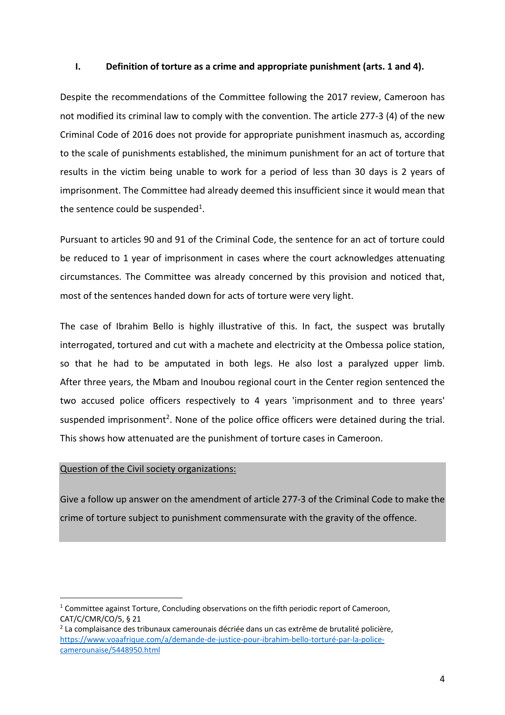#### **I. Definition of torture as a crime and appropriate punishment (arts. 1 and 4).**

Despite the recommendations of the Committee following the 2017 review, Cameroon has not modified its criminal law to comply with the convention. The article 277-3 (4) of the new Criminal Code of 2016 does not provide for appropriate punishment inasmuch as, according to the scale of punishments established, the minimum punishment for an act of torture that results in the victim being unable to work for a period of less than 30 days is 2 years of imprisonment. The Committee had already deemed this insufficient since it would mean that the sentence could be suspended<sup>1</sup>.

Pursuant to articles 90 and 91 of the Criminal Code, the sentence for an act of torture could be reduced to 1 year of imprisonment in cases where the court acknowledges attenuating circumstances. The Committee was already concerned by this provision and noticed that, most of the sentences handed down for acts of torture were very light.

The case of Ibrahim Bello is highly illustrative of this. In fact, the suspect was brutally interrogated, tortured and cut with a machete and electricity at the Ombessa police station, so that he had to be amputated in both legs. He also lost a paralyzed upper limb. After three years, the Mbam and Inoubou regional court in the Center region sentenced the two accused police officers respectively to 4 years 'imprisonment and to three years' suspended imprisonment<sup>2</sup>. None of the police office officers were detained during the trial. This shows how attenuated are the punishment of torture cases in Cameroon.

#### Question of the Civil society organizations:

Give a follow up answer on the amendment of article 277-3 of the Criminal Code to make the crime of torture subject to punishment commensurate with the gravity of the offence.

 $1$  Committee against Torture, Concluding observations on the fifth periodic report of Cameroon, CAT/C/CMR/CO/5, § 21

 $2$  La complaisance des tribunaux camerounais décriée dans un cas extrême de brutalité policière. https://www.voaafrique.com/a/demande-de-justice-pour-ibrahim-bello-torturé-par-la-policecamerounaise/5448950.html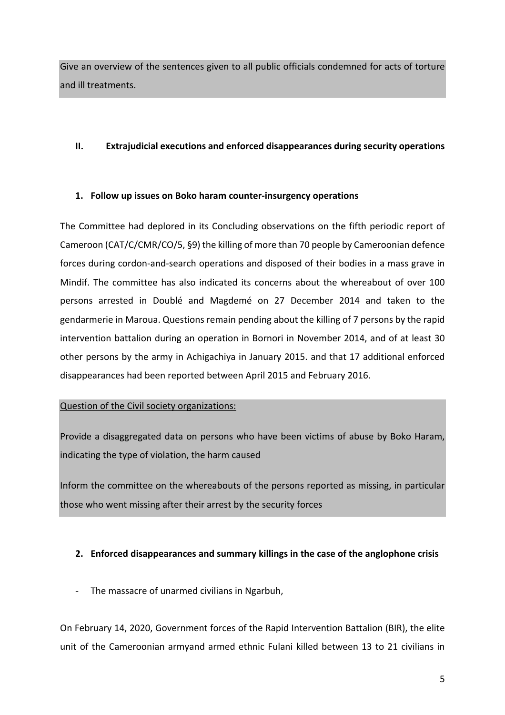Give an overview of the sentences given to all public officials condemned for acts of torture and ill treatments.

# **II. Extrajudicial executions and enforced disappearances during security operations**

# **1. Follow up issues on Boko haram counter-insurgency operations**

The Committee had deplored in its Concluding observations on the fifth periodic report of Cameroon (CAT/C/CMR/CO/5, §9) the killing of more than 70 people by Cameroonian defence forces during cordon-and-search operations and disposed of their bodies in a mass grave in Mindif. The committee has also indicated its concerns about the whereabout of over 100 persons arrested in Doublé and Magdemé on 27 December 2014 and taken to the gendarmerie in Maroua. Questions remain pending about the killing of 7 persons by the rapid intervention battalion during an operation in Bornori in November 2014, and of at least 30 other persons by the army in Achigachiya in January 2015. and that 17 additional enforced disappearances had been reported between April 2015 and February 2016.

# Question of the Civil society organizations:

Provide a disaggregated data on persons who have been victims of abuse by Boko Haram, indicating the type of violation, the harm caused

Inform the committee on the whereabouts of the persons reported as missing, in particular those who went missing after their arrest by the security forces

# **2. Enforced disappearances and summary killings in the case of the anglophone crisis**

- The massacre of unarmed civilians in Ngarbuh,

On February 14, 2020, Government forces of the Rapid Intervention Battalion (BIR), the elite unit of the Cameroonian armyand armed ethnic Fulani killed between 13 to 21 civilians in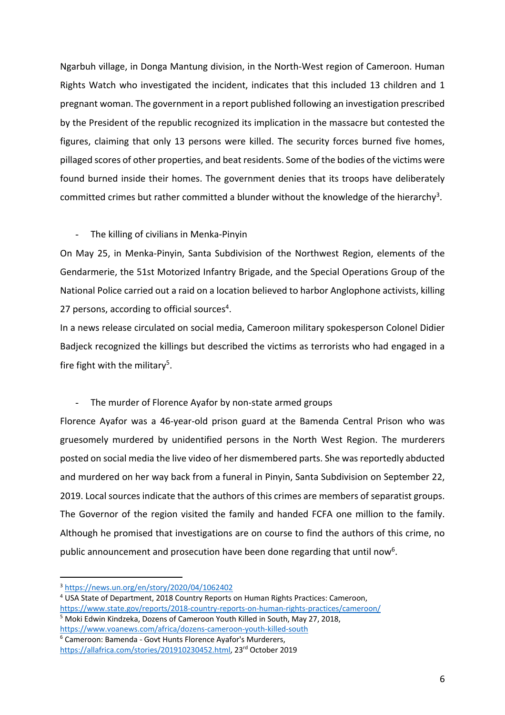Ngarbuh village, in Donga Mantung division, in the North-West region of Cameroon. Human Rights Watch who investigated the incident, indicates that this included 13 children and 1 pregnant woman. The government in a report published following an investigation prescribed by the President of the republic recognized its implication in the massacre but contested the figures, claiming that only 13 persons were killed. The security forces burned five homes, pillaged scores of other properties, and beat residents. Some of the bodies of the victims were found burned inside their homes. The government denies that its troops have deliberately committed crimes but rather committed a blunder without the knowledge of the hierarchy<sup>3</sup>.

#### - The killing of civilians in Menka-Pinyin

On May 25, in Menka-Pinyin, Santa Subdivision of the Northwest Region, elements of the Gendarmerie, the 51st Motorized Infantry Brigade, and the Special Operations Group of the National Police carried out a raid on a location believed to harbor Anglophone activists, killing 27 persons, according to official sources<sup>4</sup>.

In a news release circulated on social media, Cameroon military spokesperson Colonel Didier Badjeck recognized the killings but described the victims as terrorists who had engaged in a fire fight with the military<sup>5</sup>.

# - The murder of Florence Ayafor by non-state armed groups

Florence Ayafor was a 46-year-old prison guard at the Bamenda Central Prison who was gruesomely murdered by unidentified persons in the North West Region. The murderers posted on social media the live video of her dismembered parts. She was reportedly abducted and murdered on her way back from a funeral in Pinyin, Santa Subdivision on September 22, 2019. Local sources indicate that the authors of this crimes are members of separatist groups. The Governor of the region visited the family and handed FCFA one million to the family. Although he promised that investigations are on course to find the authors of this crime, no public announcement and prosecution have been done regarding that until now<sup>6</sup>.

<sup>6</sup> Cameroon: Bamenda - Govt Hunts Florence Ayafor's Murderers,

<sup>3</sup> https://news.un.org/en/story/2020/04/1062402

<sup>4</sup> USA State of Department, 2018 Country Reports on Human Rights Practices: Cameroon,

https://www.state.gov/reports/2018-country-reports-on-human-rights-practices/cameroon/

<sup>5</sup> Moki Edwin Kindzeka, Dozens of Cameroon Youth Killed in South, May 27, 2018, https://www.voanews.com/africa/dozens-cameroon-youth-killed-south

https://allafrica.com/stories/201910230452.html, 23rd October 2019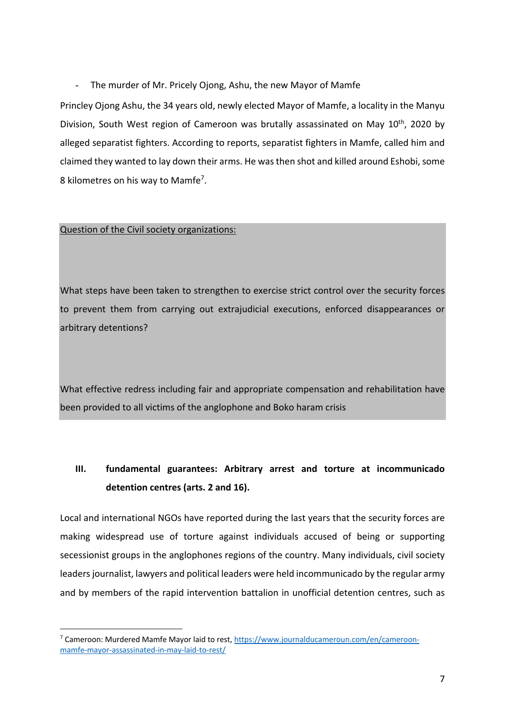- The murder of Mr. Pricely Ojong, Ashu, the new Mayor of Mamfe

Princley Ojong Ashu, the 34 years old, newly elected Mayor of Mamfe, a locality in the Manyu Division, South West region of Cameroon was brutally assassinated on May  $10^{th}$ , 2020 by alleged separatist fighters. According to reports, separatist fighters in Mamfe, called him and claimed they wanted to lay down their arms. He was then shot and killed around Eshobi, some 8 kilometres on his way to Mamfe<sup>7</sup>.

#### Question of the Civil society organizations:

What steps have been taken to strengthen to exercise strict control over the security forces to prevent them from carrying out extrajudicial executions, enforced disappearances or arbitrary detentions?

What effective redress including fair and appropriate compensation and rehabilitation have been provided to all victims of the anglophone and Boko haram crisis

# **III. fundamental guarantees: Arbitrary arrest and torture at incommunicado detention centres (arts. 2 and 16).**

Local and international NGOs have reported during the last years that the security forces are making widespread use of torture against individuals accused of being or supporting secessionist groups in the anglophones regions of the country. Many individuals, civil society leaders journalist, lawyers and political leaders were held incommunicado by the regular army and by members of the rapid intervention battalion in unofficial detention centres, such as

<sup>7</sup> Cameroon: Murdered Mamfe Mayor laid to rest, https://www.journalducameroun.com/en/cameroonmamfe-mayor-assassinated-in-may-laid-to-rest/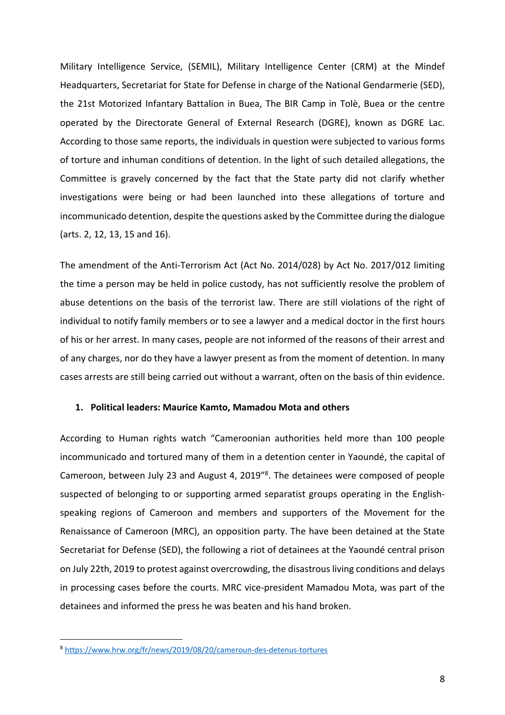Military Intelligence Service, (SEMIL), Military Intelligence Center (CRM) at the Mindef Headquarters, Secretariat for State for Defense in charge of the National Gendarmerie (SED), the 21st Motorized Infantary Battalion in Buea, The BIR Camp in Tolè, Buea or the centre operated by the Directorate General of External Research (DGRE), known as DGRE Lac. According to those same reports, the individuals in question were subjected to various forms of torture and inhuman conditions of detention. In the light of such detailed allegations, the Committee is gravely concerned by the fact that the State party did not clarify whether investigations were being or had been launched into these allegations of torture and incommunicado detention, despite the questions asked by the Committee during the dialogue (arts. 2, 12, 13, 15 and 16).

The amendment of the Anti-Terrorism Act (Act No. 2014/028) by Act No. 2017/012 limiting the time a person may be held in police custody, has not sufficiently resolve the problem of abuse detentions on the basis of the terrorist law. There are still violations of the right of individual to notify family members or to see a lawyer and a medical doctor in the first hours of his or her arrest. In many cases, people are not informed of the reasons of their arrest and of any charges, nor do they have a lawyer present as from the moment of detention. In many cases arrests are still being carried out without a warrant, often on the basis of thin evidence.

#### **1. Political leaders: Maurice Kamto, Mamadou Mota and others**

According to Human rights watch "Cameroonian authorities held more than 100 people incommunicado and tortured many of them in a detention center in Yaoundé, the capital of Cameroon, between July 23 and August 4, 2019"8. The detainees were composed of people suspected of belonging to or supporting armed separatist groups operating in the Englishspeaking regions of Cameroon and members and supporters of the Movement for the Renaissance of Cameroon (MRC), an opposition party. The have been detained at the State Secretariat for Defense (SED), the following a riot of detainees at the Yaoundé central prison on July 22th, 2019 to protest against overcrowding, the disastrous living conditions and delays in processing cases before the courts. MRC vice-president Mamadou Mota, was part of the detainees and informed the press he was beaten and his hand broken.

<sup>8</sup> https://www.hrw.org/fr/news/2019/08/20/cameroun-des-detenus-tortures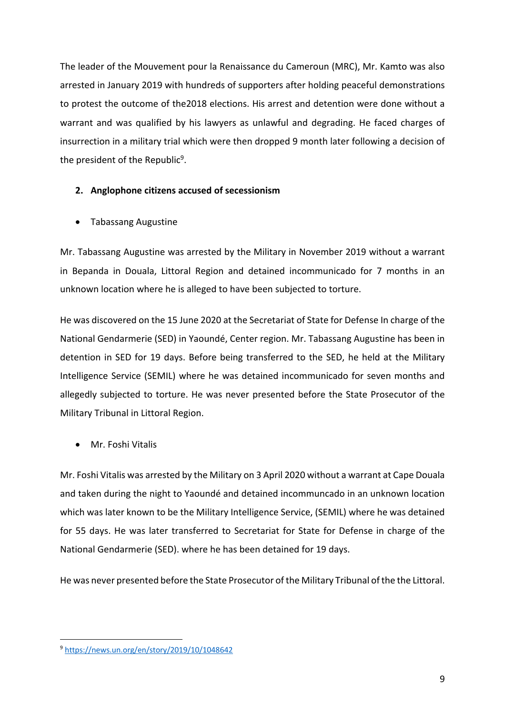The leader of the Mouvement pour la Renaissance du Cameroun (MRC), Mr. Kamto was also arrested in January 2019 with hundreds of supporters after holding peaceful demonstrations to protest the outcome of the2018 elections. His arrest and detention were done without a warrant and was qualified by his lawyers as unlawful and degrading. He faced charges of insurrection in a military trial which were then dropped 9 month later following a decision of the president of the Republic<sup>9</sup>.

#### **2. Anglophone citizens accused of secessionism**

• Tabassang Augustine

Mr. Tabassang Augustine was arrested by the Military in November 2019 without a warrant in Bepanda in Douala, Littoral Region and detained incommunicado for 7 months in an unknown location where he is alleged to have been subjected to torture.

He was discovered on the 15 June 2020 at the Secretariat of State for Defense In charge of the National Gendarmerie (SED) in Yaoundé, Center region. Mr. Tabassang Augustine has been in detention in SED for 19 days. Before being transferred to the SED, he held at the Military Intelligence Service (SEMIL) where he was detained incommunicado for seven months and allegedly subjected to torture. He was never presented before the State Prosecutor of the Military Tribunal in Littoral Region.

• Mr. Foshi Vitalis

Mr. Foshi Vitalis was arrested by the Military on 3 April 2020 without a warrant at Cape Douala and taken during the night to Yaoundé and detained incommuncado in an unknown location which was later known to be the Military Intelligence Service, (SEMIL) where he was detained for 55 days. He was later transferred to Secretariat for State for Defense in charge of the National Gendarmerie (SED). where he has been detained for 19 days.

He was never presented before the State Prosecutor of the Military Tribunal of the the Littoral.

<sup>9</sup> https://news.un.org/en/story/2019/10/1048642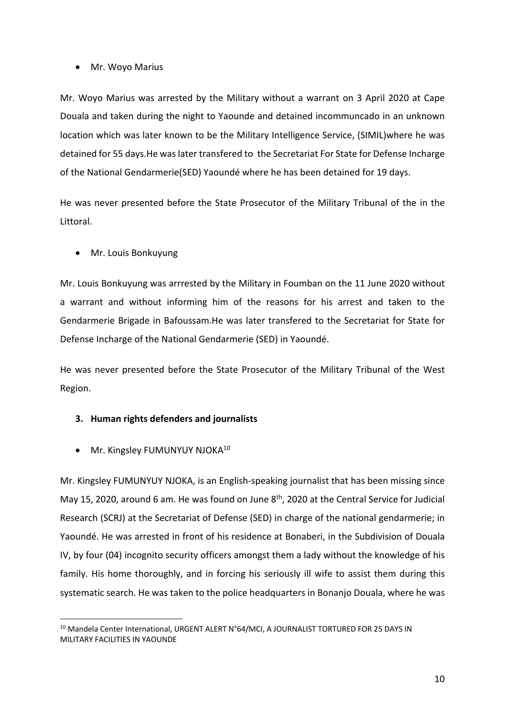#### • Mr. Woyo Marius

Mr. Woyo Marius was arrested by the Military without a warrant on 3 April 2020 at Cape Douala and taken during the night to Yaounde and detained incommuncado in an unknown location which was later known to be the Military Intelligence Service, (SIMIL)where he was detained for 55 days.He was later transfered to the Secretariat For State for Defense Incharge of the National Gendarmerie(SED) Yaoundé where he has been detained for 19 days.

He was never presented before the State Prosecutor of the Military Tribunal of the in the Littoral.

• Mr. Louis Bonkuyung

Mr. Louis Bonkuyung was arrrested by the Military in Foumban on the 11 June 2020 without a warrant and without informing him of the reasons for his arrest and taken to the Gendarmerie Brigade in Bafoussam.He was later transfered to the Secretariat for State for Defense Incharge of the National Gendarmerie (SED) in Yaoundé.

He was never presented before the State Prosecutor of the Military Tribunal of the West Region.

# **3. Human rights defenders and journalists**

• Mr. Kingsley FUMUNYUY NJOKA<sup>10</sup>

Mr. Kingsley FUMUNYUY NJOKA, is an English-speaking journalist that has been missing since May 15, 2020, around 6 am. He was found on June  $8<sup>th</sup>$ , 2020 at the Central Service for Judicial Research (SCRJ) at the Secretariat of Defense (SED) in charge of the national gendarmerie; in Yaoundé. He was arrested in front of his residence at Bonaberi, in the Subdivision of Douala IV, by four (04) incognito security officers amongst them a lady without the knowledge of his family. His home thoroughly, and in forcing his seriously ill wife to assist them during this systematic search. He was taken to the police headquarters in Bonanjo Douala, where he was

<sup>&</sup>lt;sup>10</sup> Mandela Center International, URGENT ALERT N°64/MCI, A JOURNALIST TORTURED FOR 25 DAYS IN MILITARY FACILITIES IN YAOUNDE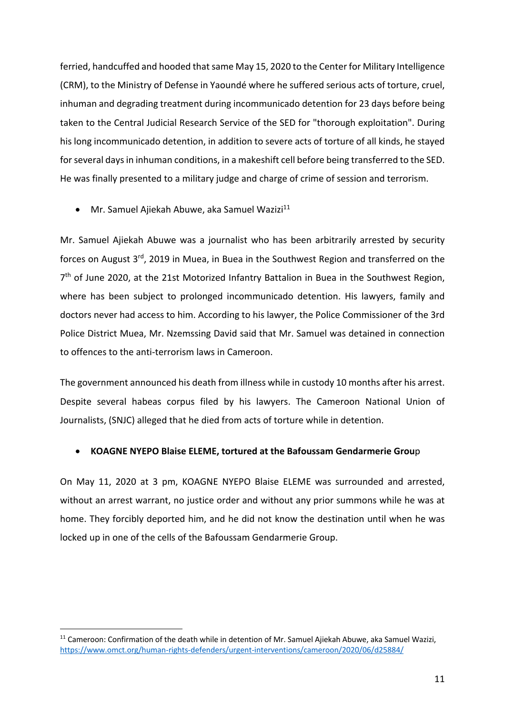ferried, handcuffed and hooded that same May 15, 2020 to the Center for Military Intelligence (CRM), to the Ministry of Defense in Yaoundé where he suffered serious acts of torture, cruel, inhuman and degrading treatment during incommunicado detention for 23 days before being taken to the Central Judicial Research Service of the SED for "thorough exploitation". During his long incommunicado detention, in addition to severe acts of torture of all kinds, he stayed for several days in inhuman conditions, in a makeshift cell before being transferred to the SED. He was finally presented to a military judge and charge of crime of session and terrorism.

• Mr. Samuel Ajiekah Abuwe, aka Samuel Wazizi $^{11}$ 

Mr. Samuel Ajiekah Abuwe was a journalist who has been arbitrarily arrested by security forces on August 3<sup>rd</sup>, 2019 in Muea, in Buea in the Southwest Region and transferred on the 7<sup>th</sup> of June 2020, at the 21st Motorized Infantry Battalion in Buea in the Southwest Region, where has been subject to prolonged incommunicado detention. His lawyers, family and doctors never had access to him. According to his lawyer, the Police Commissioner of the 3rd Police District Muea, Mr. Nzemssing David said that Mr. Samuel was detained in connection to offences to the anti-terrorism laws in Cameroon.

The government announced his death from illness while in custody 10 months after his arrest. Despite several habeas corpus filed by his lawyers. The Cameroon National Union of Journalists, (SNJC) alleged that he died from acts of torture while in detention.

#### • **KOAGNE NYEPO Blaise ELEME, tortured at the Bafoussam Gendarmerie Grou**p

On May 11, 2020 at 3 pm, KOAGNE NYEPO Blaise ELEME was surrounded and arrested, without an arrest warrant, no justice order and without any prior summons while he was at home. They forcibly deported him, and he did not know the destination until when he was locked up in one of the cells of the Bafoussam Gendarmerie Group.

<sup>&</sup>lt;sup>11</sup> Cameroon: Confirmation of the death while in detention of Mr. Samuel Ajiekah Abuwe, aka Samuel Wazizi, https://www.omct.org/human-rights-defenders/urgent-interventions/cameroon/2020/06/d25884/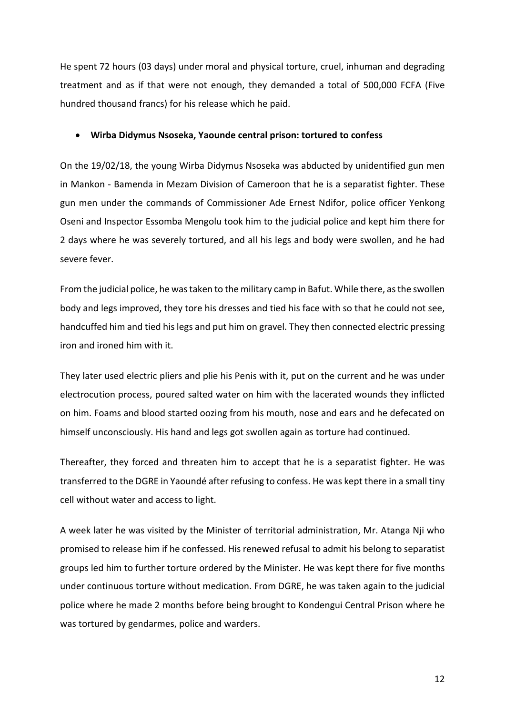He spent 72 hours (03 days) under moral and physical torture, cruel, inhuman and degrading treatment and as if that were not enough, they demanded a total of 500,000 FCFA (Five hundred thousand francs) for his release which he paid.

#### • **Wirba Didymus Nsoseka, Yaounde central prison: tortured to confess**

On the 19/02/18, the young Wirba Didymus Nsoseka was abducted by unidentified gun men in Mankon - Bamenda in Mezam Division of Cameroon that he is a separatist fighter. These gun men under the commands of Commissioner Ade Ernest Ndifor, police officer Yenkong Oseni and Inspector Essomba Mengolu took him to the judicial police and kept him there for 2 days where he was severely tortured, and all his legs and body were swollen, and he had severe fever.

From the judicial police, he was taken to the military camp in Bafut. While there, as the swollen body and legs improved, they tore his dresses and tied his face with so that he could not see, handcuffed him and tied his legs and put him on gravel. They then connected electric pressing iron and ironed him with it.

They later used electric pliers and plie his Penis with it, put on the current and he was under electrocution process, poured salted water on him with the lacerated wounds they inflicted on him. Foams and blood started oozing from his mouth, nose and ears and he defecated on himself unconsciously. His hand and legs got swollen again as torture had continued.

Thereafter, they forced and threaten him to accept that he is a separatist fighter. He was transferred to the DGRE in Yaoundé after refusing to confess. He was kept there in a small tiny cell without water and access to light.

A week later he was visited by the Minister of territorial administration, Mr. Atanga Nji who promised to release him if he confessed. His renewed refusal to admit his belong to separatist groups led him to further torture ordered by the Minister. He was kept there for five months under continuous torture without medication. From DGRE, he was taken again to the judicial police where he made 2 months before being brought to Kondengui Central Prison where he was tortured by gendarmes, police and warders.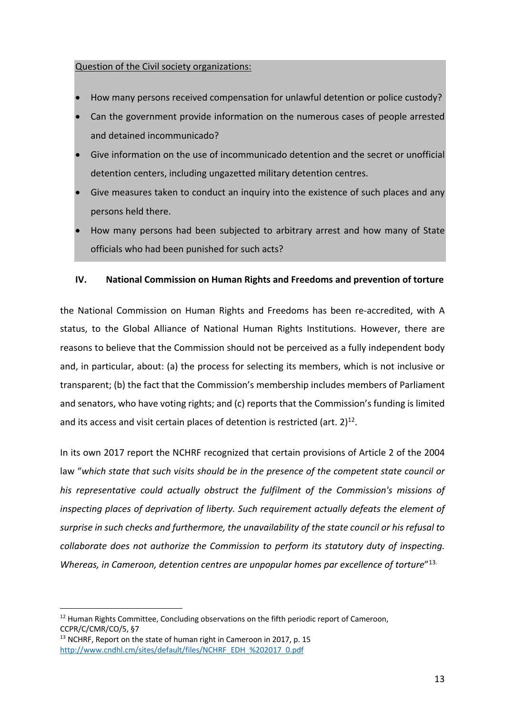#### Question of the Civil society organizations:

- How many persons received compensation for unlawful detention or police custody?
- Can the government provide information on the numerous cases of people arrested and detained incommunicado?
- Give information on the use of incommunicado detention and the secret or unofficial detention centers, including ungazetted military detention centres.
- Give measures taken to conduct an inquiry into the existence of such places and any persons held there.
- How many persons had been subjected to arbitrary arrest and how many of State officials who had been punished for such acts?

#### **IV. National Commission on Human Rights and Freedoms and prevention of torture**

the National Commission on Human Rights and Freedoms has been re-accredited, with A status, to the Global Alliance of National Human Rights Institutions. However, there are reasons to believe that the Commission should not be perceived as a fully independent body and, in particular, about: (a) the process for selecting its members, which is not inclusive or transparent; (b) the fact that the Commission's membership includes members of Parliament and senators, who have voting rights; and (c) reports that the Commission's funding is limited and its access and visit certain places of detention is restricted (art.  $2^{12}$ .

In its own 2017 report the NCHRF recognized that certain provisions of Article 2 of the 2004 law "*which state that such visits should be in the presence of the competent state council or his representative could actually obstruct the fulfilment of the Commission's missions of inspecting places of deprivation of liberty. Such requirement actually defeats the element of surprise in such checks and furthermore, the unavailability of the state council or his refusal to collaborate does not authorize the Commission to perform its statutory duty of inspecting. Whereas, in Cameroon, detention centres are unpopular homes par excellence of torture*"13.

 $12$  Human Rights Committee, Concluding observations on the fifth periodic report of Cameroon, CCPR/C/CMR/CO/5, §7

<sup>&</sup>lt;sup>13</sup> NCHRF, Report on the state of human right in Cameroon in 2017, p. 15 http://www.cndhl.cm/sites/default/files/NCHRF\_EDH\_%202017\_0.pdf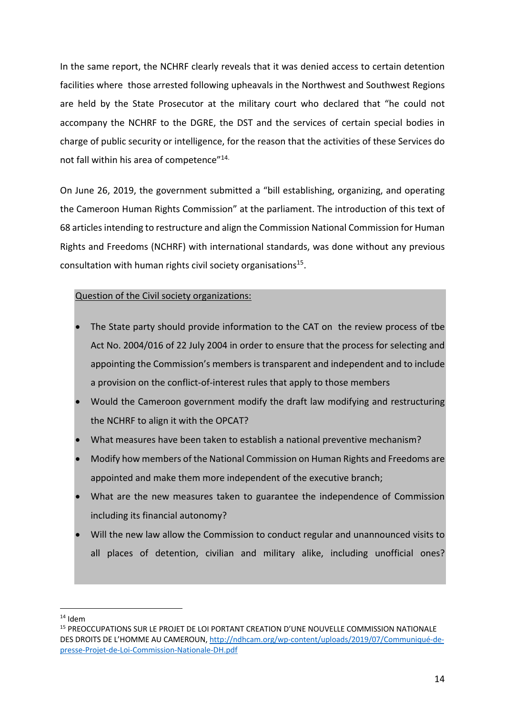In the same report, the NCHRF clearly reveals that it was denied access to certain detention facilities where those arrested following upheavals in the Northwest and Southwest Regions are held by the State Prosecutor at the military court who declared that "he could not accompany the NCHRF to the DGRE, the DST and the services of certain special bodies in charge of public security or intelligence, for the reason that the activities of these Services do not fall within his area of competence"14.

On June 26, 2019, the government submitted a "bill establishing, organizing, and operating the Cameroon Human Rights Commission" at the parliament. The introduction of this text of 68 articlesintending to restructure and align the Commission National Commission for Human Rights and Freedoms (NCHRF) with international standards, was done without any previous consultation with human rights civil society organisations<sup>15</sup>.

#### Question of the Civil society organizations:

- The State party should provide information to the CAT on the review process of tbe Act No. 2004/016 of 22 July 2004 in order to ensure that the process for selecting and appointing the Commission's members is transparent and independent and to include a provision on the conflict-of-interest rules that apply to those members
- Would the Cameroon government modify the draft law modifying and restructuring the NCHRF to align it with the OPCAT?
- What measures have been taken to establish a national preventive mechanism?
- Modify how members of the National Commission on Human Rights and Freedoms are appointed and make them more independent of the executive branch;
- What are the new measures taken to guarantee the independence of Commission including its financial autonomy?
- Will the new law allow the Commission to conduct regular and unannounced visits to all places of detention, civilian and military alike, including unofficial ones?

 $14$  Idem

<sup>&</sup>lt;sup>15</sup> PREOCCUPATIONS SUR LE PROJET DE LOI PORTANT CREATION D'UNE NOUVELLE COMMISSION NATIONALE DES DROITS DE L'HOMME AU CAMEROUN, http://ndhcam.org/wp-content/uploads/2019/07/Communiqué-depresse-Projet-de-Loi-Commission-Nationale-DH.pdf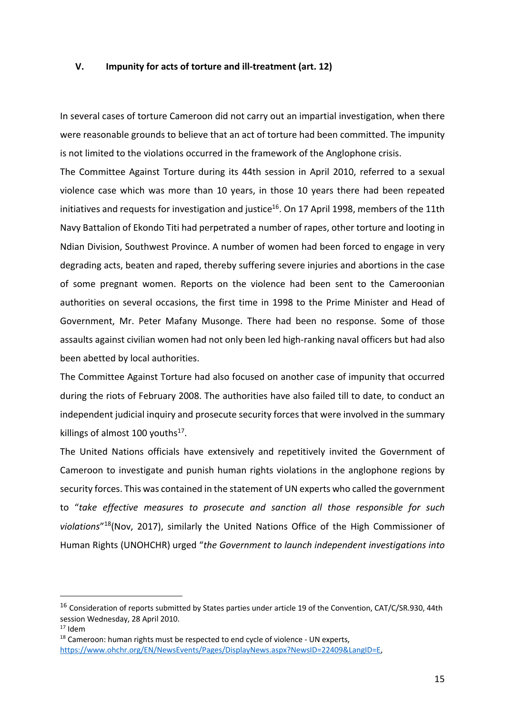#### **V. Impunity for acts of torture and ill-treatment (art. 12)**

In several cases of torture Cameroon did not carry out an impartial investigation, when there were reasonable grounds to believe that an act of torture had been committed. The impunity is not limited to the violations occurred in the framework of the Anglophone crisis.

The Committee Against Torture during its 44th session in April 2010, referred to a sexual violence case which was more than 10 years, in those 10 years there had been repeated initiatives and requests for investigation and justice<sup>16</sup>. On 17 April 1998, members of the 11th Navy Battalion of Ekondo Titi had perpetrated a number of rapes, other torture and looting in Ndian Division, Southwest Province. A number of women had been forced to engage in very degrading acts, beaten and raped, thereby suffering severe injuries and abortions in the case of some pregnant women. Reports on the violence had been sent to the Cameroonian authorities on several occasions, the first time in 1998 to the Prime Minister and Head of Government, Mr. Peter Mafany Musonge. There had been no response. Some of those assaults against civilian women had not only been led high-ranking naval officers but had also been abetted by local authorities.

The Committee Against Torture had also focused on another case of impunity that occurred during the riots of February 2008. The authorities have also failed till to date, to conduct an independent judicial inquiry and prosecute security forces that were involved in the summary killings of almost 100 youths $17$ .

The United Nations officials have extensively and repetitively invited the Government of Cameroon to investigate and punish human rights violations in the anglophone regions by security forces. This was contained in the statement of UN experts who called the government to "*take effective measures to prosecute and sanction all those responsible for such violations*"18(Nov, 2017), similarly the United Nations Office of the High Commissioner of Human Rights (UNOHCHR) urged "*the Government to launch independent investigations into* 

<sup>&</sup>lt;sup>16</sup> Consideration of reports submitted by States parties under article 19 of the Convention, CAT/C/SR.930, 44th session Wednesday, 28 April 2010.

<sup>17</sup> Idem

 $18$  Cameroon: human rights must be respected to end cycle of violence - UN experts, https://www.ohchr.org/EN/NewsEvents/Pages/DisplayNews.aspx?NewsID=22409&LangID=E,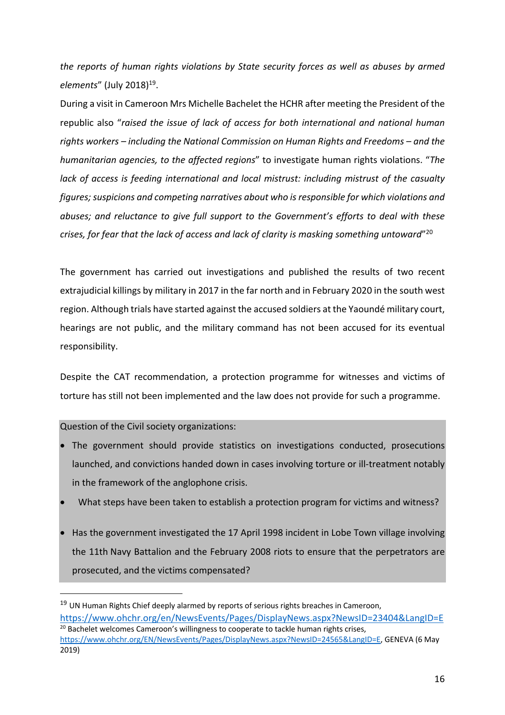*the reports of human rights violations by State security forces as well as abuses by armed elements"* (July 2018)<sup>19</sup>.

During a visit in Cameroon Mrs Michelle Bachelet the HCHR after meeting the President of the republic also "*raised the issue of lack of access for both international and national human rights workers – including the National Commission on Human Rights and Freedoms – and the humanitarian agencies, to the affected regions*" to investigate human rights violations. "*The lack of access is feeding international and local mistrust: including mistrust of the casualty figures; suspicions and competing narratives about who is responsible for which violations and abuses; and reluctance to give full support to the Government's efforts to deal with these crises, for fear that the lack of access and lack of clarity is masking something untoward*"20

The government has carried out investigations and published the results of two recent extrajudicial killings by military in 2017 in the far north and in February 2020 in the south west region. Although trials have started against the accused soldiers at the Yaoundé military court, hearings are not public, and the military command has not been accused for its eventual responsibility.

Despite the CAT recommendation, a protection programme for witnesses and victims of torture has still not been implemented and the law does not provide for such a programme.

Question of the Civil society organizations:

- The government should provide statistics on investigations conducted, prosecutions launched, and convictions handed down in cases involving torture or ill-treatment notably in the framework of the anglophone crisis.
- What steps have been taken to establish a protection program for victims and witness?
- Has the government investigated the 17 April 1998 incident in Lobe Town village involving the 11th Navy Battalion and the February 2008 riots to ensure that the perpetrators are prosecuted, and the victims compensated?

<sup>&</sup>lt;sup>19</sup> UN Human Rights Chief deeply alarmed by reports of serious rights breaches in Cameroon, https://www.ohchr.org/en/NewsEvents/Pages/DisplayNews.aspx?NewsID=23404&LangID=E <sup>20</sup> Bachelet welcomes Cameroon's willingness to cooperate to tackle human rights crises.

https://www.ohchr.org/EN/NewsEvents/Pages/DisplayNews.aspx?NewsID=24565&LangID=E, GENEVA (6 May 2019)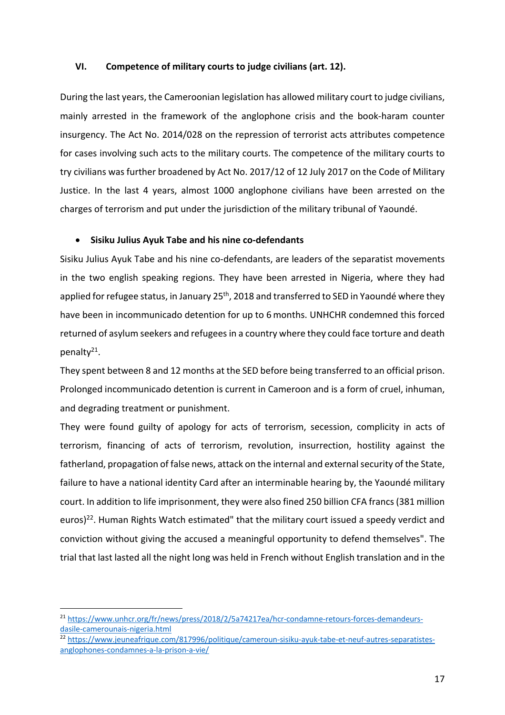#### **VI. Competence of military courts to judge civilians (art. 12).**

During the last years, the Cameroonian legislation has allowed military court to judge civilians, mainly arrested in the framework of the anglophone crisis and the book-haram counter insurgency. The Act No. 2014/028 on the repression of terrorist acts attributes competence for cases involving such acts to the military courts. The competence of the military courts to try civilians was further broadened by Act No. 2017/12 of 12 July 2017 on the Code of Military Justice. In the last 4 years, almost 1000 anglophone civilians have been arrested on the charges of terrorism and put under the jurisdiction of the military tribunal of Yaoundé.

#### • **Sisiku Julius Ayuk Tabe and his nine co-defendants**

Sisiku Julius Ayuk Tabe and his nine co-defendants, are leaders of the separatist movements in the two english speaking regions. They have been arrested in Nigeria, where they had applied for refugee status, in January 25<sup>th</sup>, 2018 and transferred to SED in Yaoundé where they have been in incommunicado detention for up to 6 months. UNHCHR condemned this forced returned of asylum seekers and refugees in a country where they could face torture and death penalty21.

They spent between 8 and 12 months at the SED before being transferred to an official prison. Prolonged incommunicado detention is current in Cameroon and is a form of cruel, inhuman, and degrading treatment or punishment.

They were found guilty of apology for acts of terrorism, secession, complicity in acts of terrorism, financing of acts of terrorism, revolution, insurrection, hostility against the fatherland, propagation of false news, attack on the internal and external security of the State, failure to have a national identity Card after an interminable hearing by, the Yaoundé military court. In addition to life imprisonment, they were also fined 250 billion CFA francs (381 million euros)<sup>22</sup>. Human Rights Watch estimated" that the military court issued a speedy verdict and conviction without giving the accused a meaningful opportunity to defend themselves". The trial that last lasted all the night long was held in French without English translation and in the

<sup>&</sup>lt;sup>21</sup> https://www.unhcr.org/fr/news/press/2018/2/5a74217ea/hcr-condamne-retours-forces-demandeursdasile-camerounais-nigeria.html

<sup>22</sup> https://www.jeuneafrique.com/817996/politique/cameroun-sisiku-ayuk-tabe-et-neuf-autres-separatistesanglophones-condamnes-a-la-prison-a-vie/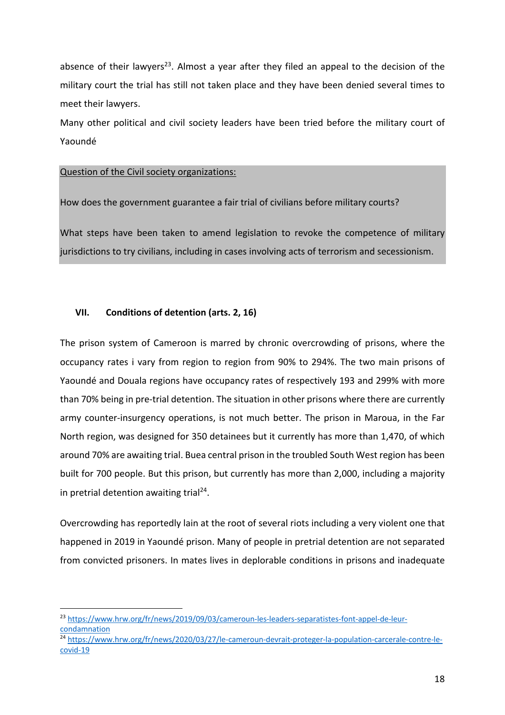absence of their lawyers<sup>23</sup>. Almost a year after they filed an appeal to the decision of the military court the trial has still not taken place and they have been denied several times to meet their lawyers.

Many other political and civil society leaders have been tried before the military court of Yaoundé

#### Question of the Civil society organizations:

How does the government guarantee a fair trial of civilians before military courts?

What steps have been taken to amend legislation to revoke the competence of military jurisdictions to try civilians, including in cases involving acts of terrorism and secessionism.

# **VII. Conditions of detention (arts. 2, 16)**

The prison system of Cameroon is marred by chronic overcrowding of prisons, where the occupancy rates i vary from region to region from 90% to 294%. The two main prisons of Yaoundé and Douala regions have occupancy rates of respectively 193 and 299% with more than 70% being in pre-trial detention. The situation in other prisons where there are currently army counter-insurgency operations, is not much better. The prison in Maroua, in the Far North region, was designed for 350 detainees but it currently has more than 1,470, of which around 70% are awaiting trial. Buea central prison in the troubled South West region has been built for 700 people. But this prison, but currently has more than 2,000, including a majority in pretrial detention awaiting trial<sup>24</sup>.

Overcrowding has reportedly lain at the root of several riots including a very violent one that happened in 2019 in Yaoundé prison. Many of people in pretrial detention are not separated from convicted prisoners. In mates lives in deplorable conditions in prisons and inadequate

<sup>&</sup>lt;sup>23</sup> https://www.hrw.org/fr/news/2019/09/03/cameroun-les-leaders-separatistes-font-appel-de-leurcondamnation

<sup>24</sup> https://www.hrw.org/fr/news/2020/03/27/le-cameroun-devrait-proteger-la-population-carcerale-contre-lecovid-19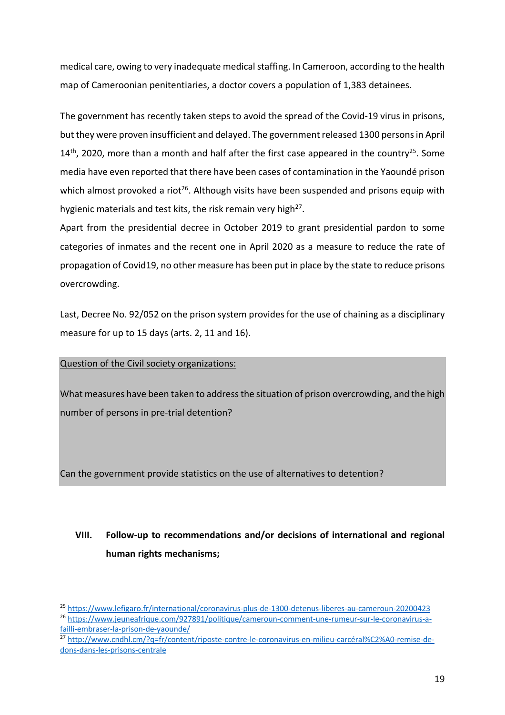medical care, owing to very inadequate medical staffing. In Cameroon, according to the health map of Cameroonian penitentiaries, a doctor covers a population of 1,383 detainees.

The government has recently taken steps to avoid the spread of the Covid-19 virus in prisons, but they were proven insufficient and delayed. The government released 1300 persons in April  $14<sup>th</sup>$ , 2020, more than a month and half after the first case appeared in the country<sup>25</sup>. Some media have even reported that there have been cases of contamination in the Yaoundé prison which almost provoked a riot<sup>26</sup>. Although visits have been suspended and prisons equip with hygienic materials and test kits, the risk remain very high<sup>27</sup>.

Apart from the presidential decree in October 2019 to grant presidential pardon to some categories of inmates and the recent one in April 2020 as a measure to reduce the rate of propagation of Covid19, no other measure has been put in place by the state to reduce prisons overcrowding.

Last, Decree No. 92/052 on the prison system provides for the use of chaining as a disciplinary measure for up to 15 days (arts. 2, 11 and 16).

# Question of the Civil society organizations:

What measures have been taken to address the situation of prison overcrowding, and the high number of persons in pre-trial detention?

Can the government provide statistics on the use of alternatives to detention?

# **VIII. Follow-up to recommendations and/or decisions of international and regional human rights mechanisms;**

<sup>25</sup> https://www.lefigaro.fr/international/coronavirus-plus-de-1300-detenus-liberes-au-cameroun-20200423

<sup>26</sup> https://www.jeuneafrique.com/927891/politique/cameroun-comment-une-rumeur-sur-le-coronavirus-afailli-embraser-la-prison-de-yaounde/

<sup>27</sup> http://www.cndhl.cm/?q=fr/content/riposte-contre-le-coronavirus-en-milieu-carcéral%C2%A0-remise-dedons-dans-les-prisons-centrale